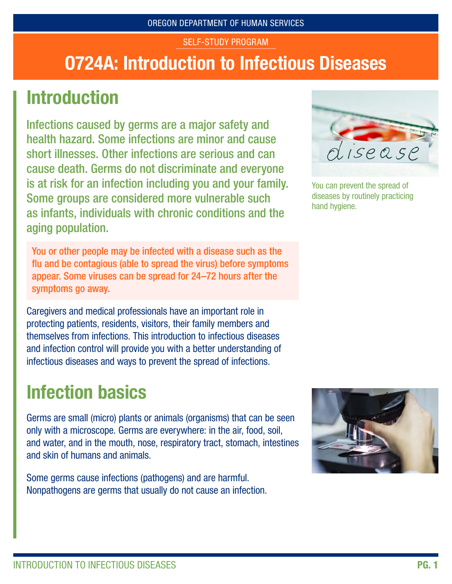#### SELF-STUDY PROGRAM

# O724A: Introduction to Infectious Diseases

# **Introduction**

Infections caused by germs are a major safety and health hazard. Some infections are minor and cause short illnesses. Other infections are serious and can cause death. Germs do not discriminate and everyone is at risk for an infection including you and your family. Some groups are considered more vulnerable such as infants, individuals with chronic conditions and the aging population.

You or other people may be infected with a disease such as the flu and be contagious (able to spread the virus) before symptoms appear. Some viruses can be spread for 24–72 hours after the symptoms go away.

Caregivers and medical professionals have an important role in protecting patients, residents, visitors, their family members and themselves from infections. This introduction to infectious diseases and infection control will provide you with a better understanding of infectious diseases and ways to prevent the spread of infections.

# Infection basics

Germs are small (micro) plants or animals (organisms) that can be seen only with a microscope. Germs are everywhere: in the air, food, soil, and water, and in the mouth, nose, respiratory tract, stomach, intestines and skin of humans and animals.

Some germs cause infections (pathogens) and are harmful. Nonpathogens are germs that usually do not cause an infection.



You can prevent the spread of diseases by routinely practicing hand hygiene.

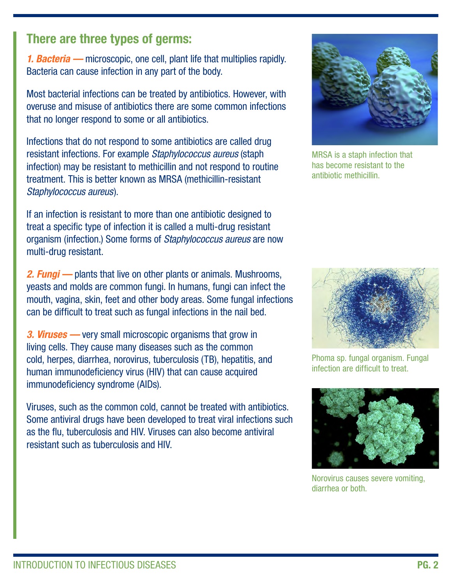#### There are three types of germs:

*1. Bacteria —* microscopic, one cell, plant life that multiplies rapidly. Bacteria can cause infection in any part of the body.

Most bacterial infections can be treated by antibiotics. However, with overuse and misuse of antibiotics there are some common infections that no longer respond to some or all antibiotics.

Infections that do not respond to some antibiotics are called drug resistant infections. For example *Staphylococcus aureus* (staph infection) may be resistant to methicillin and not respond to routine treatment. This is better known as MRSA (methicillin-resistant *Staphylococcus aureus*).

If an infection is resistant to more than one antibiotic designed to treat a specific type of infection it is called a multi-drug resistant organism (infection.) Some forms of *Staphylococcus aureus* are now multi-drug resistant.

*2. Fungi —* plants that live on other plants or animals. Mushrooms, yeasts and molds are common fungi. In humans, fungi can infect the mouth, vagina, skin, feet and other body areas. Some fungal infections can be difficult to treat such as fungal infections in the nail bed.

*3. Viruses —* very small microscopic organisms that grow in living cells. They cause many diseases such as the common cold, herpes, diarrhea, norovirus, tuberculosis (TB), hepatitis, and human immunodeficiency virus (HIV) that can cause acquired immunodeficiency syndrome (AIDs).

Viruses, such as the common cold, cannot be treated with antibiotics. Some antiviral drugs have been developed to treat viral infections such as the flu, tuberculosis and HIV. Viruses can also become antiviral resistant such as tuberculosis and HIV.



MRSA is a staph infection that has become resistant to the antibiotic methicillin.



Phoma sp. fungal organism. Fungal infection are difficult to treat.



Norovirus causes severe vomiting, diarrhea or both.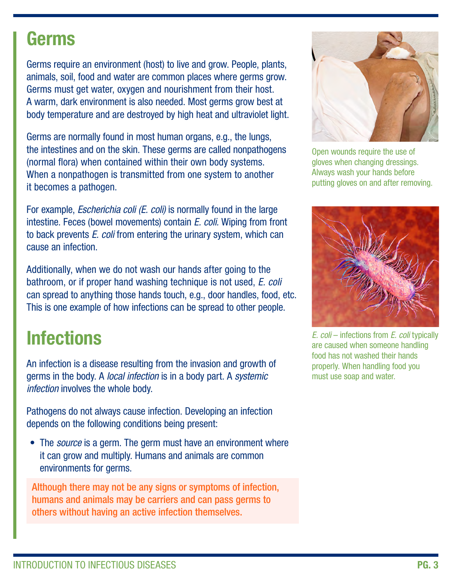#### Germs

Germs require an environment (host) to live and grow. People, plants, animals, soil, food and water are common places where germs grow. Germs must get water, oxygen and nourishment from their host. A warm, dark environment is also needed. Most germs grow best at body temperature and are destroyed by high heat and ultraviolet light.

Germs are normally found in most human organs, e.g., the lungs, the intestines and on the skin. These germs are called nonpathogens (normal flora) when contained within their own body systems. When a nonpathogen is transmitted from one system to another it becomes a pathogen.

For example, *Escherichia coli (E. coli)* is normally found in the large intestine. Feces (bowel movements) contain *E. coli.* Wiping from front to back prevents *E. coli* from entering the urinary system, which can cause an infection.

Additionally, when we do not wash our hands after going to the bathroom, or if proper hand washing technique is not used, *E. coli* can spread to anything those hands touch, e.g., door handles, food, etc. This is one example of how infections can be spread to other people.

# **Infections**

An infection is a disease resulting from the invasion and growth of germs in the body. A *local infection* is in a body part. A *systemic infection* involves the whole body.

Pathogens do not always cause infection. Developing an infection depends on the following conditions being present:

• The *source* is a germ. The germ must have an environment where it can grow and multiply. Humans and animals are common environments for germs.

Although there may not be any signs or symptoms of infection, humans and animals may be carriers and can pass germs to others without having an active infection themselves.



Open wounds require the use of gloves when changing dressings. Always wash your hands before putting gloves on and after removing.



*E. coli* – infections from *E. coli* typically are caused when someone handling food has not washed their hands properly. When handling food you must use soap and water.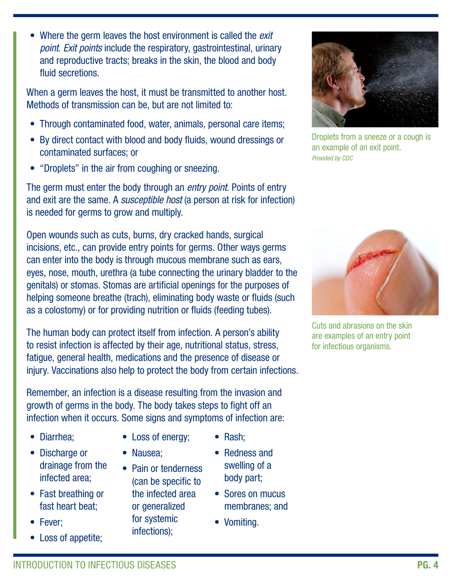• Where the germ leaves the host environment is called the *exit point. Exit points* include the respiratory, gastrointestinal, urinary and reproductive tracts; breaks in the skin, the blood and body fluid secretions.

When a germ leaves the host, it must be transmitted to another host. Methods of transmission can be, but are not limited to:

- Through contaminated food, water, animals, personal care items;
- By direct contact with blood and body fluids, wound dressings or contaminated surfaces; or
- "Droplets" in the air from coughing or sneezing.

The germ must enter the body through an *entry point.* Points of entry and exit are the same. A *susceptible host* (a person at risk for infection) is needed for germs to grow and multiply.

Open wounds such as cuts, burns, dry cracked hands, surgical incisions, etc., can provide entry points for germs. Other ways germs can enter into the body is through mucous membrane such as ears, eyes, nose, mouth, urethra (a tube connecting the urinary bladder to the genitals) or stomas. Stomas are artificial openings for the purposes of helping someone breathe (trach), eliminating body waste or fluids (such as a colostomy) or for providing nutrition or fluids (feeding tubes).

The human body can protect itself from infection. A person's ability to resist infection is affected by their age, nutritional status, stress, fatigue, general health, medications and the presence of disease or injury. Vaccinations also help to protect the body from certain infections.

Remember, an infection is a disease resulting from the invasion and growth of germs in the body. The body takes steps to fight off an infection when it occurs. Some signs and symptoms of infection are:

- Diarrhea;
- Discharge or drainage from the infected area;
- Fast breathing or fast heart beat;
- Fever;
- Loss of appetite;
- Loss of energy;
- Nausea;
- Pain or tenderness (can be specific to the infected area or generalized for systemic infections);
- Redness and swelling of a

body part;

• Rash;

- Sores on mucus membranes; and
- Vomiting.



Droplets from a sneeze or a cough is an example of an exit point. *Provided by CDC*



Cuts and abrasions on the skin are examples of an entry point for infectious organisms.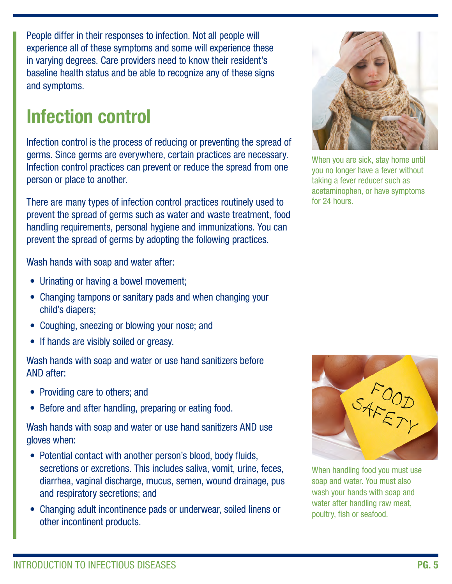People differ in their responses to infection. Not all people will experience all of these symptoms and some will experience these in varying degrees. Care providers need to know their resident's baseline health status and be able to recognize any of these signs and symptoms.

# Infection control

Infection control is the process of reducing or preventing the spread of germs. Since germs are everywhere, certain practices are necessary. Infection control practices can prevent or reduce the spread from one person or place to another.

There are many types of infection control practices routinely used to prevent the spread of germs such as water and waste treatment, food handling requirements, personal hygiene and immunizations. You can prevent the spread of germs by adopting the following practices.

Wash hands with soap and water after:

- Urinating or having a bowel movement;
- Changing tampons or sanitary pads and when changing your child's diapers;
- Coughing, sneezing or blowing your nose; and
- If hands are visibly soiled or greasy.

Wash hands with soap and water or use hand sanitizers before AND after:

- Providing care to others; and
- Before and after handling, preparing or eating food.

Wash hands with soap and water or use hand sanitizers AND use gloves when:

- Potential contact with another person's blood, body fluids, secretions or excretions. This includes saliva, vomit, urine, feces, diarrhea, vaginal discharge, mucus, semen, wound drainage, pus and respiratory secretions; and
- Changing adult incontinence pads or underwear, soiled linens or other incontinent products.



When you are sick, stay home until you no longer have a fever without taking a fever reducer such as acetaminophen, or have symptoms for 24 hours.



When handling food you must use soap and water. You must also wash your hands with soap and water after handling raw meat, poultry, fish or seafood.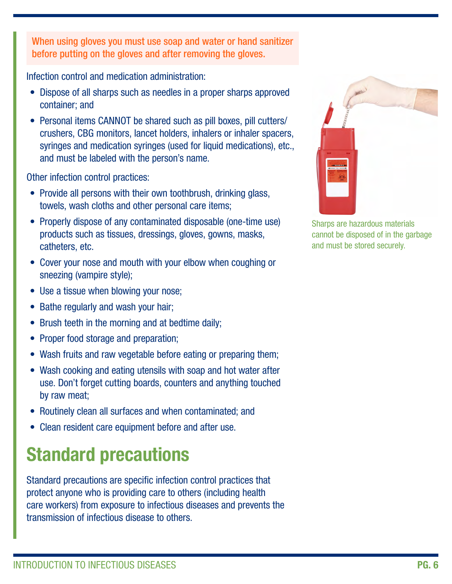When using gloves you must use soap and water or hand sanitizer before putting on the gloves and after removing the gloves.

Infection control and medication administration:

- Dispose of all sharps such as needles in a proper sharps approved container; and
- Personal items CANNOT be shared such as pill boxes, pill cutters/ crushers, CBG monitors, lancet holders, inhalers or inhaler spacers, syringes and medication syringes (used for liquid medications), etc., and must be labeled with the person's name.

Other infection control practices:

- Provide all persons with their own toothbrush, drinking glass, towels, wash cloths and other personal care items;
- Properly dispose of any contaminated disposable (one-time use) products such as tissues, dressings, gloves, gowns, masks, catheters, etc.
- Cover your nose and mouth with your elbow when coughing or sneezing (vampire style);
- Use a tissue when blowing your nose;
- Bathe regularly and wash your hair;
- Brush teeth in the morning and at bedtime daily;
- Proper food storage and preparation;
- Wash fruits and raw vegetable before eating or preparing them;
- Wash cooking and eating utensils with soap and hot water after use. Don't forget cutting boards, counters and anything touched by raw meat;
- Routinely clean all surfaces and when contaminated; and
- Clean resident care equipment before and after use.

# Standard precautions

Standard precautions are specific infection control practices that protect anyone who is providing care to others (including health care workers) from exposure to infectious diseases and prevents the transmission of infectious disease to others.



Sharps are hazardous materials cannot be disposed of in the garbage and must be stored securely.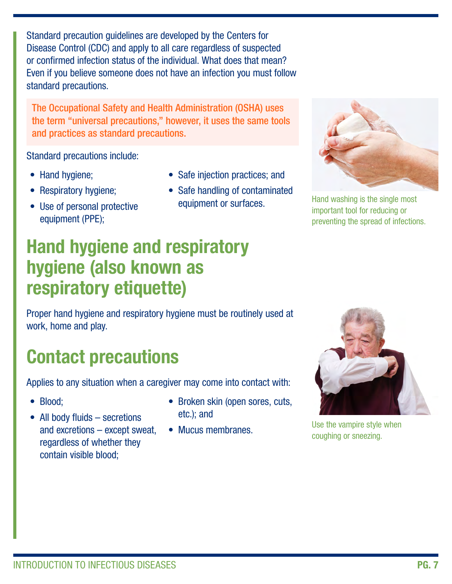Standard precaution guidelines are developed by the Centers for Disease Control (CDC) and apply to all care regardless of suspected or confirmed infection status of the individual. What does that mean? Even if you believe someone does not have an infection you must follow standard precautions.

The Occupational Safety and Health Administration (OSHA) uses the term "universal precautions," however, it uses the same tools and practices as standard precautions.

Standard precautions include:

- Hand hygiene;
- Respiratory hygiene;
- Use of personal protective equipment (PPE);
- Safe injection practices; and
- Safe handling of contaminated equipment or surfaces.



Hand washing is the single most important tool for reducing or preventing the spread of infections.

### Hand hygiene and respiratory hygiene (also known as respiratory etiquette)

Proper hand hygiene and respiratory hygiene must be routinely used at work, home and play.

# Contact precautions

Applies to any situation when a caregiver may come into contact with:

- Blood;
- All body fluids secretions and excretions – except sweat, regardless of whether they contain visible blood;
- Broken skin (open sores, cuts, etc.); and
- Mucus membranes.



Use the vampire style when coughing or sneezing.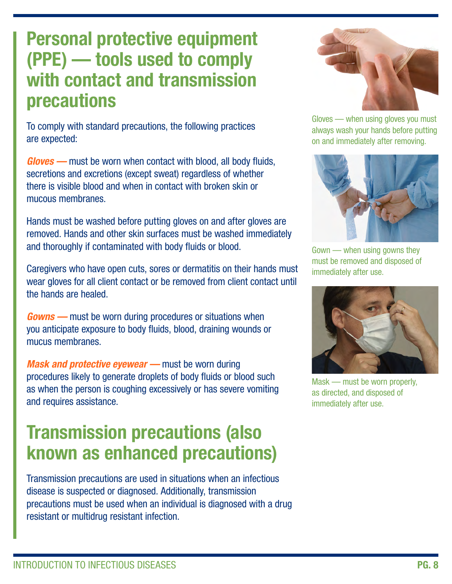### Personal protective equipment (PPE) — tools used to comply with contact and transmission precautions

To comply with standard precautions, the following practices are expected:

*Gloves —* must be worn when contact with blood, all body fluids, secretions and excretions (except sweat) regardless of whether there is visible blood and when in contact with broken skin or mucous membranes.

Hands must be washed before putting gloves on and after gloves are removed. Hands and other skin surfaces must be washed immediately and thoroughly if contaminated with body fluids or blood.

Caregivers who have open cuts, sores or dermatitis on their hands must wear gloves for all client contact or be removed from client contact until the hands are healed.

*Gowns —* must be worn during procedures or situations when you anticipate exposure to body fluids, blood, draining wounds or mucus membranes.

*Mask and protective eyewear —* must be worn during procedures likely to generate droplets of body fluids or blood such as when the person is coughing excessively or has severe vomiting and requires assistance.

### Transmission precautions (also known as enhanced precautions)

Transmission precautions are used in situations when an infectious disease is suspected or diagnosed. Additionally, transmission precautions must be used when an individual is diagnosed with a drug resistant or multidrug resistant infection.



Gloves — when using gloves you must always wash your hands before putting on and immediately after removing.



Gown — when using gowns they must be removed and disposed of immediately after use.



Mask — must be worn properly, as directed, and disposed of immediately after use.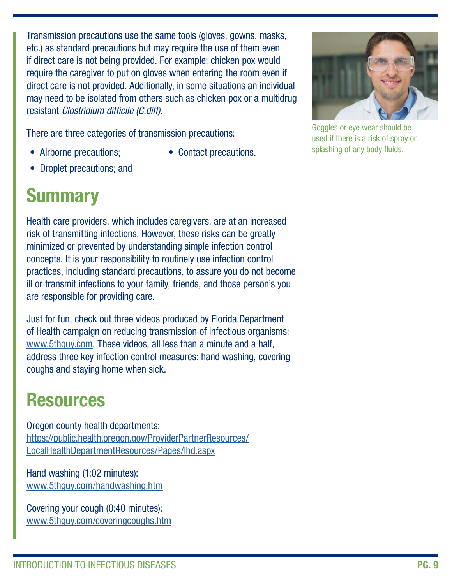Transmission precautions use the same tools (gloves, gowns, masks, etc.) as standard precautions but may require the use of them even if direct care is not being provided. For example; chicken pox would require the caregiver to put on gloves when entering the room even if direct care is not provided. Additionally, in some situations an individual may need to be isolated from others such as chicken pox or a multidrug resistant *Clostridium difficile (C.diff).*

There are three categories of transmission precautions:

- Airborne precautions;
- Contact precautions.
- Droplet precautions; and

# **Summary**

Health care providers, which includes caregivers, are at an increased risk of transmitting infections. However, these risks can be greatly minimized or prevented by understanding simple infection control concepts. It is your responsibility to routinely use infection control practices, including standard precautions, to assure you do not become ill or transmit infections to your family, friends, and those person's you are responsible for providing care.

Just for fun, check out three videos produced by Florida Department of Health campaign on reducing transmission of infectious organisms: [www.5thguy.com](http://www.5thguy.com). These videos, all less than a minute and a half, address three key infection control measures: hand washing, covering coughs and staying home when sick.

## Resources

Oregon county health departments: [https://public.health.oregon.gov/ProviderPartnerResources/](https://public.health.oregon.gov/ProviderPartnerResources/LocalHealthDepartmentResources/Pages/lhd.aspx) [LocalHealthDepartmentResources/Pages/lhd.aspx](https://public.health.oregon.gov/ProviderPartnerResources/LocalHealthDepartmentResources/Pages/lhd.aspx)

Hand washing (1:02 minutes): www.5thguy.com/handwashing.htm

Covering your cough (0:40 minutes): www.5thguy.com/coveringcoughs.htm



Goggles or eye wear should be used if there is a risk of spray or splashing of any body fluids.